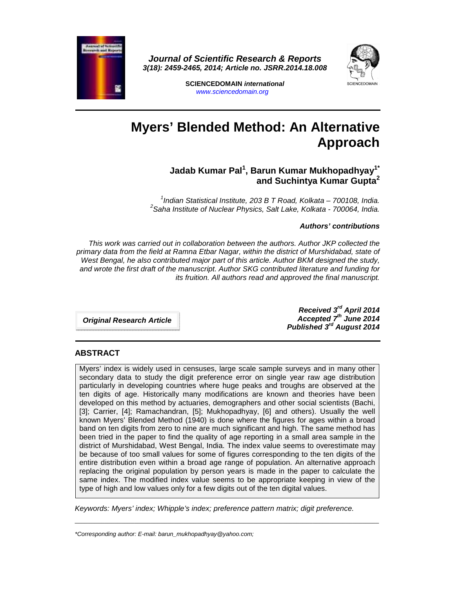

**Journal of Scientific Research & Reports 3(18): 2459-2465, 2014; Article no. JSRR.2014.18.008** 



**SCIENCEDOMAIN international**  www.sciencedomain.org

# **Myers' Blended Method: An Alternative Approach**

# **Jadab Kumar Pal<sup>1</sup> , Barun Kumar Mukhopadhyay1\* and Suchintya Kumar Gupta<sup>2</sup>**

<sup>1</sup>Indian Statistical Institute, 203 B T Road, Kolkata - 700108, India.  $^{2}$ Saha Institute of Nuclear Physics, Salt Lake, Kolkata - 700064, India.

#### **Authors' contributions**

 This work was carried out in collaboration between the authors. Author JKP collected the primary data from the field at Ramna Etbar Nagar, within the district of Murshidabad, state of West Bengal, he also contributed major part of this article. Author BKM designed the study, and wrote the first draft of the manuscript. Author SKG contributed literature and funding for its fruition. All authors read and approved the final manuscript.

**Original Research Article** 

**Received 3rd April 2014 Accepted 7th June 2014 Published 3rd August 2014**

#### **ABSTRACT**

Myers' index is widely used in censuses, large scale sample surveys and in many other secondary data to study the digit preference error on single year raw age distribution particularly in developing countries where huge peaks and troughs are observed at the ten digits of age. Historically many modifications are known and theories have been developed on this method by actuaries, demographers and other social scientists (Bachi, [3]; Carrier, [4]; Ramachandran, [5]; Mukhopadhyay, [6] and others). Usually the well known Myers' Blended Method (1940) is done where the figures for ages within a broad band on ten digits from zero to nine are much significant and high. The same method has been tried in the paper to find the quality of age reporting in a small area sample in the district of Murshidabad, West Bengal, India. The index value seems to overestimate may be because of too small values for some of figures corresponding to the ten digits of the entire distribution even within a broad age range of population. An alternative approach replacing the original population by person years is made in the paper to calculate the same index. The modified index value seems to be appropriate keeping in view of the type of high and low values only for a few digits out of the ten digital values.

Keywords: Myers' index; Whipple's index; preference pattern matrix; digit preference.

 $\_$  , and the set of the set of the set of the set of the set of the set of the set of the set of the set of the set of the set of the set of the set of the set of the set of the set of the set of the set of the set of th

\*Corresponding author: E-mail: barun\_mukhopadhyay@yahoo.com;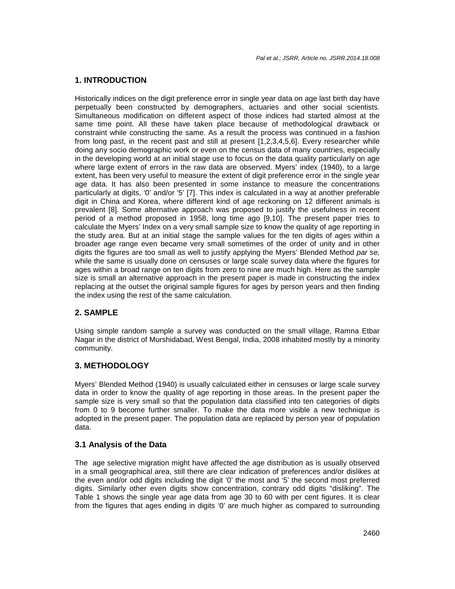#### **1. INTRODUCTION**

Historically indices on the digit preference error in single year data on age last birth day have perpetually been constructed by demographers, actuaries and other social scientists. Simultaneous modification on different aspect of those indices had started almost at the same time point. All these have taken place because of methodological drawback or constraint while constructing the same. As a result the process was continued in a fashion from long past, in the recent past and still at present [1,2,3,4,5,6]. Every researcher while doing any socio demographic work or even on the census data of many countries, especially in the developing world at an initial stage use to focus on the data quality particularly on age where large extent of errors in the raw data are observed. Myers' index (1940), to a large extent, has been very useful to measure the extent of digit preference error in the single year age data. It has also been presented in some instance to measure the concentrations particularly at digits, '0' and/or '5' [7]. This index is calculated in a way at another preferable digit in China and Korea, where different kind of age reckoning on 12 different animals is prevalent [8]. Some alternative approach was proposed to justify the usefulness in recent period of a method proposed in 1958, long time ago [9,10]. The present paper tries to calculate the Myers' Index on a very small sample size to know the quality of age reporting in the study area. But at an initial stage the sample values for the ten digits of ages within a broader age range even became very small sometimes of the order of unity and in other digits the figures are too small as well to justify applying the Myers' Blended Method par se, while the same is usually done on censuses or large scale survey data where the figures for ages within a broad range on ten digits from zero to nine are much high. Here as the sample size is small an alternative approach in the present paper is made in constructing the index replacing at the outset the original sample figures for ages by person years and then finding the index using the rest of the same calculation.

# **2. SAMPLE**

Using simple random sample a survey was conducted on the small village, Ramna Etbar Nagar in the district of Murshidabad, West Bengal, India, 2008 inhabited mostly by a minority community.

#### **3. METHODOLOGY**

Myers' Blended Method (1940) is usually calculated either in censuses or large scale survey data in order to know the quality of age reporting in those areas. In the present paper the sample size is very small so that the population data classified into ten categories of digits from 0 to 9 become further smaller. To make the data more visible a new technique is adopted in the present paper. The population data are replaced by person year of population data.

#### **3.1 Analysis of the Data**

The age selective migration might have affected the age distribution as is usually observed in a small geographical area, still there are clear indication of preferences and/or dislikes at the even and/or odd digits including the digit '0' the most and '5' the second most preferred digits. Similarly other even digits show concentration, contrary odd digits "disliking". The Table 1 shows the single year age data from age 30 to 60 with per cent figures. It is clear from the figures that ages ending in digits '0' are much higher as compared to surrounding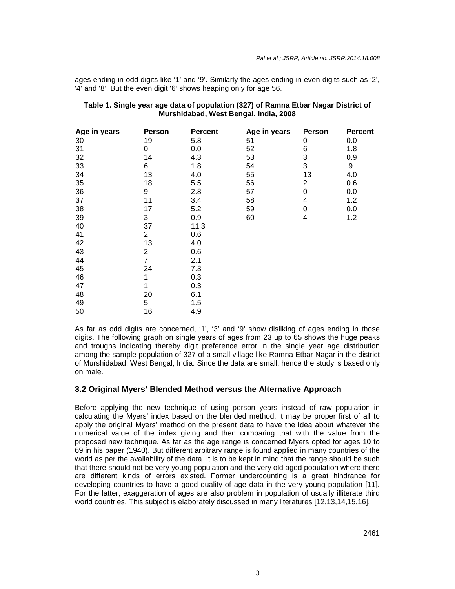ages ending in odd digits like '1' and '9'. Similarly the ages ending in even digits such as '2', '4' and '8'. But the even digit '6' shows heaping only for age 56.

| Age in years | Person         | <b>Percent</b> | Age in years | <b>Person</b>  | <b>Percent</b> |
|--------------|----------------|----------------|--------------|----------------|----------------|
| 30           | 19             | 5.8            | 51           | 0              | 0.0            |
| 31           | 0              | 0.0            | 52           | 6              | 1.8            |
| 32           | 14             | 4.3            | 53           | 3              | 0.9            |
| 33           | 6              | 1.8            | 54           | 3              | .9             |
| 34           | 13             | 4.0            | 55           | 13             | 4.0            |
| 35           | 18             | 5.5            | 56           | $\overline{c}$ | 0.6            |
| 36           | 9              | 2.8            | 57           | 0              | 0.0            |
| 37           | 11             | 3.4            | 58           | 4              | 1.2            |
| 38           | 17             | 5.2            | 59           | $\mathbf 0$    | 0.0            |
| 39           | 3              | 0.9            | 60           | 4              | 1.2            |
| 40           | 37             | 11.3           |              |                |                |
| 41           | $\overline{2}$ | 0.6            |              |                |                |
| 42           | 13             | 4.0            |              |                |                |
| 43           | $\overline{c}$ | 0.6            |              |                |                |
| 44           | $\overline{7}$ | 2.1            |              |                |                |
| 45           | 24             | 7.3            |              |                |                |
| 46           | 1              | 0.3            |              |                |                |
| 47           | 1              | 0.3            |              |                |                |
| 48           | 20             | 6.1            |              |                |                |
| 49           | 5              | 1.5            |              |                |                |
| 50           | 16             | 4.9            |              |                |                |

| Table 1. Single year age data of population (327) of Ramna Etbar Nagar District of |  |  |  |  |  |  |
|------------------------------------------------------------------------------------|--|--|--|--|--|--|
| Murshidabad, West Bengal, India, 2008                                              |  |  |  |  |  |  |

As far as odd digits are concerned, '1', '3' and '9' show disliking of ages ending in those digits. The following graph on single years of ages from 23 up to 65 shows the huge peaks and troughs indicating thereby digit preference error in the single year age distribution among the sample population of 327 of a small village like Ramna Etbar Nagar in the district of Murshidabad, West Bengal, India. Since the data are small, hence the study is based only on male.

#### **3.2 Original Myers' Blended Method versus the Alternative Approach**

Before applying the new technique of using person years instead of raw population in calculating the Myers' index based on the blended method, it may be proper first of all to apply the original Myers' method on the present data to have the idea about whatever the numerical value of the index giving and then comparing that with the value from the proposed new technique. As far as the age range is concerned Myers opted for ages 10 to 69 in his paper (1940). But different arbitrary range is found applied in many countries of the world as per the availability of the data. It is to be kept in mind that the range should be such that there should not be very young population and the very old aged population where there are different kinds of errors existed. Former undercounting is a great hindrance for developing countries to have a good quality of age data in the very young population [11]. For the latter, exaggeration of ages are also problem in population of usually illiterate third world countries. This subject is elaborately discussed in many literatures [12,13,14,15,16].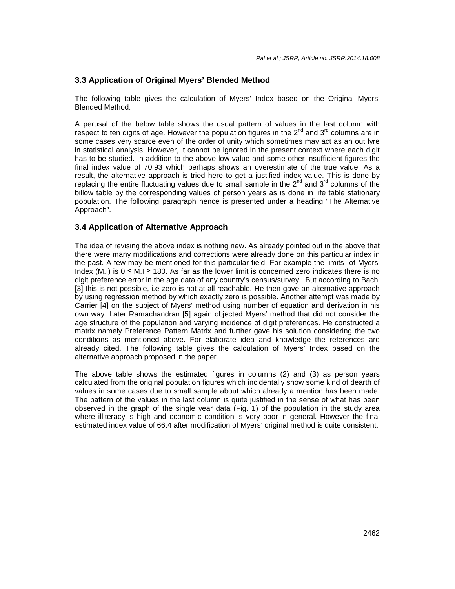# **3.3 Application of Original Myers' Blended Method**

The following table gives the calculation of Myers' Index based on the Original Myers' Blended Method.

A perusal of the below table shows the usual pattern of values in the last column with respect to ten digits of age. However the population figures in the  $2^{nd}$  and  $3^{rd}$  columns are in some cases very scarce even of the order of unity which sometimes may act as an out lyre in statistical analysis. However, it cannot be ignored in the present context where each digit has to be studied. In addition to the above low value and some other insufficient figures the final index value of 70.93 which perhaps shows an overestimate of the true value. As a result, the alternative approach is tried here to get a justified index value. This is done by replacing the entire fluctuating values due to small sample in the  $2<sup>nd</sup>$  and  $3<sup>rd</sup>$  columns of the billow table by the corresponding values of person years as is done in life table stationary population. The following paragraph hence is presented under a heading "The Alternative Approach".

#### **3.4 Application of Alternative Approach**

The idea of revising the above index is nothing new. As already pointed out in the above that there were many modifications and corrections were already done on this particular index in the past. A few may be mentioned for this particular field. For example the limits of Myers' Index (M.I) is  $0 \le M.I \ge 180$ . As far as the lower limit is concerned zero indicates there is no digit preference error in the age data of any country's census/survey. But according to Bachi [3] this is not possible, i.e zero is not at all reachable. He then gave an alternative approach by using regression method by which exactly zero is possible. Another attempt was made by Carrier [4] on the subject of Myers' method using number of equation and derivation in his own way. Later Ramachandran [5] again objected Myers' method that did not consider the age structure of the population and varying incidence of digit preferences. He constructed a matrix namely Preference Pattern Matrix and further gave his solution considering the two conditions as mentioned above. For elaborate idea and knowledge the references are already cited. The following table gives the calculation of Myers' Index based on the alternative approach proposed in the paper.

The above table shows the estimated figures in columns (2) and (3) as person years calculated from the original population figures which incidentally show some kind of dearth of values in some cases due to small sample about which already a mention has been made. The pattern of the values in the last column is quite justified in the sense of what has been observed in the graph of the single year data (Fig. 1) of the population in the study area where illiteracy is high and economic condition is very poor in general. However the final estimated index value of 66.4 after modification of Myers' original method is quite consistent.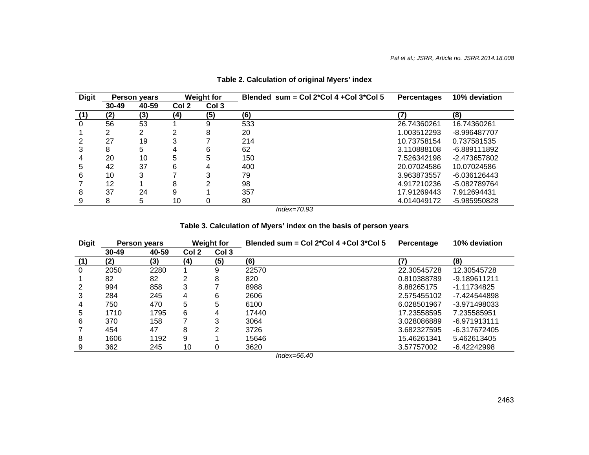| <b>Digit</b> | <b>Person years</b> |       | <b>Weight for</b> |       | Blended $sum = Col 2*Col 4 + Col 3*Col 5$ | <b>Percentages</b> | 10% deviation |
|--------------|---------------------|-------|-------------------|-------|-------------------------------------------|--------------------|---------------|
|              | $30 - 49$           | 40-59 | Col 2             | Col 3 |                                           |                    |               |
| (1)          | (2)                 | (3)   | (4)               | (5)   | (6)                                       | (7)                | (8)           |
| 0            | 56                  | 53    |                   | 9     | 533                                       | 26.74360261        | 16.74360261   |
|              |                     |       | ⌒                 | 8     | 20                                        | 1.003512293        | -8.996487707  |
|              | 27                  | 19    | 2                 |       | 214                                       | 10.73758154        | 0.737581535   |
|              | 8                   | 5     | 4                 | 6     | 62                                        | 3.110888108        | -6.889111892  |
|              | 20                  | 10    | 5                 | 5     | 150                                       | 7.526342198        | -2.473657802  |
| 5            | 42                  | 37    | 6                 | 4     | 400                                       | 20.07024586        | 10.07024586   |
| 6            | 10                  |       |                   |       | 79                                        | 3.963873557        | -6.036126443  |
|              | 12                  |       | 8                 |       | 98                                        | 4.917210236        | -5.082789764  |
| 8            | 37                  | 24    | 9                 |       | 357                                       | 17.91269443        | 7.912694431   |
|              | 8                   | 5     | 10                | 0     | 80                                        | 4.014049172        | -5.985950828  |

# **Table 2. Calculation of original Myers' index**

Index=70.93

# **Table 3. Calculation of Myers' index on the basis of person years**

| <b>Digit</b> | Person years |       | <b>Weight for</b> |       | Blended sum = $Col 2*Col 4 + Col 3*Col 5$ | Percentage  | 10% deviation  |
|--------------|--------------|-------|-------------------|-------|-------------------------------------------|-------------|----------------|
|              | $30 - 49$    | 40-59 | Col 2             | Col 3 |                                           |             |                |
| (1)          | (2)          | (3)   | (4)               | (5)   | (6)                                       | (7)         | (8)            |
| $\Omega$     | 2050         | 2280  |                   | 9     | 22570                                     | 22.30545728 | 12.30545728    |
|              | 82           | 82    | 2                 | 8     | 820                                       | 0.810388789 | -9.189611211   |
| 2            | 994          | 858   | 3                 |       | 8988                                      | 8.88265175  | $-1.11734825$  |
| 3            | 284          | 245   | 4                 | 6     | 2606                                      | 2.575455102 | -7.424544898   |
| 4            | 750          | 470   | 5                 | 5     | 6100                                      | 6.028501967 | $-3.971498033$ |
| 5            | 1710         | 1795  | 6                 | 4     | 17440                                     | 17.23558595 | 7.235585951    |
| 6            | 370          | 158   | ⇁                 | 3     | 3064                                      | 3.028086889 | $-6.971913111$ |
|              | 454          | 47    | 8                 | ◠     | 3726                                      | 3.682327595 | -6.317672405   |
| 8            | 1606         | 1192  | 9                 |       | 15646                                     | 15.46261341 | 5.462613405    |
| 9            | 362          | 245   | 10                | 0     | 3620                                      | 3.57757002  | $-6.42242998$  |

Index=66.40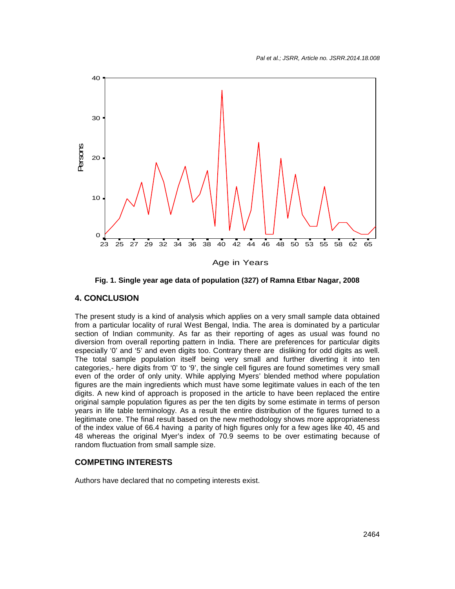

**Fig. 1. Single year age data of population (327) of Ramna Etbar Nagar, 2008** 

#### **4. CONCLUSION**

The present study is a kind of analysis which applies on a very small sample data obtained from a particular locality of rural West Bengal, India. The area is dominated by a particular section of Indian community. As far as their reporting of ages as usual was found no diversion from overall reporting pattern in India. There are preferences for particular digits especially '0' and '5' and even digits too. Contrary there are disliking for odd digits as well. The total sample population itself being very small and further diverting it into ten categories,- here digits from '0' to '9', the single cell figures are found sometimes very small even of the order of only unity. While applying Myers' blended method where population figures are the main ingredients which must have some legitimate values in each of the ten digits. A new kind of approach is proposed in the article to have been replaced the entire original sample population figures as per the ten digits by some estimate in terms of person years in life table terminology. As a result the entire distribution of the figures turned to a legitimate one. The final result based on the new methodology shows more appropriateness of the index value of 66.4 having a parity of high figures only for a few ages like 40, 45 and 48 whereas the original Myer's index of 70.9 seems to be over estimating because of random fluctuation from small sample size.

#### **COMPETING INTERESTS**

Authors have declared that no competing interests exist.